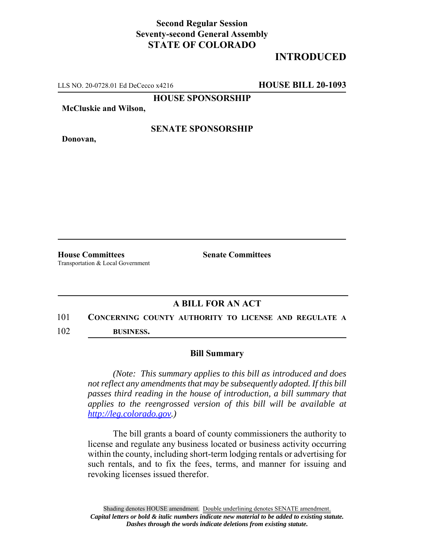## **Second Regular Session Seventy-second General Assembly STATE OF COLORADO**

# **INTRODUCED**

LLS NO. 20-0728.01 Ed DeCecco x4216 **HOUSE BILL 20-1093**

**HOUSE SPONSORSHIP**

**McCluskie and Wilson,**

**Donovan,**

#### **SENATE SPONSORSHIP**

**House Committees Senate Committees** Transportation & Local Government

### **A BILL FOR AN ACT**

### 101 **CONCERNING COUNTY AUTHORITY TO LICENSE AND REGULATE A**

102 **BUSINESS.**

#### **Bill Summary**

*(Note: This summary applies to this bill as introduced and does not reflect any amendments that may be subsequently adopted. If this bill passes third reading in the house of introduction, a bill summary that applies to the reengrossed version of this bill will be available at http://leg.colorado.gov.)*

The bill grants a board of county commissioners the authority to license and regulate any business located or business activity occurring within the county, including short-term lodging rentals or advertising for such rentals, and to fix the fees, terms, and manner for issuing and revoking licenses issued therefor.